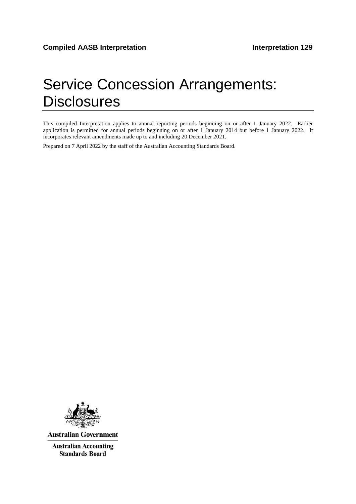# Service Concession Arrangements: **Disclosures**

This compiled Interpretation applies to annual reporting periods beginning on or after 1 January 2022. Earlier application is permitted for annual periods beginning on or after 1 January 2014 but before 1 January 2022. It incorporates relevant amendments made up to and including 20 December 2021.

Prepared on 7 April 2022 by the staff of the Australian Accounting Standards Board.



**Australian Government** 

**Australian Accounting Standards Board**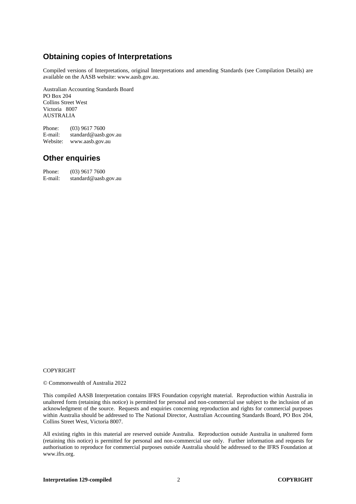# **Obtaining copies of Interpretations**

Compiled versions of Interpretations, original Interpretations and amending Standards (see Compilation Details) are available on the AASB website: www.aasb.gov.au.

Australian Accounting Standards Board PO Box 204 Collins Street West Victoria 8007 AUSTRALIA

Phone:  $(03)$  9617 7600<br>E-mail: standard@aasb. standard@aasb.gov.au Website: www.aasb.gov.au

#### **Other enquiries**

| Phone:  | $(03)$ 9617 7600     |
|---------|----------------------|
| E-mail: | standard@aasb.gov.au |

#### COPYRIGHT

© Commonwealth of Australia 2022

This compiled AASB Interpretation contains IFRS Foundation copyright material. Reproduction within Australia in unaltered form (retaining this notice) is permitted for personal and non-commercial use subject to the inclusion of an acknowledgment of the source. Requests and enquiries concerning reproduction and rights for commercial purposes within Australia should be addressed to The National Director, Australian Accounting Standards Board, PO Box 204, Collins Street West, Victoria 8007.

All existing rights in this material are reserved outside Australia. Reproduction outside Australia in unaltered form (retaining this notice) is permitted for personal and non-commercial use only. Further information and requests for authorisation to reproduce for commercial purposes outside Australia should be addressed to the IFRS Foundation at www.ifrs.org.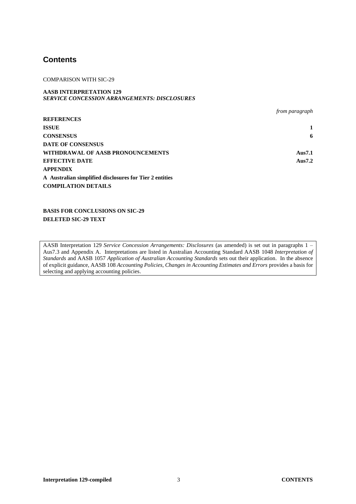#### **Contents**

#### COMPARISON WITH SIC-29

#### **AASB INTERPRETATION 129** *SERVICE CONCESSION ARRANGEMENTS: DISCLOSURES*

|                                                         | from paragraph |
|---------------------------------------------------------|----------------|
| <b>REFERENCES</b>                                       |                |
| <b>ISSUE</b>                                            |                |
| <b>CONSENSUS</b>                                        | 6              |
| <b>DATE OF CONSENSUS</b>                                |                |
| WITHDRAWAL OF AASB PRONOUNCEMENTS                       | Aus7.1         |
| <b>EFFECTIVE DATE</b>                                   | Aus7.2         |
| <b>APPENDIX</b>                                         |                |
| A Australian simplified disclosures for Tier 2 entities |                |
| <b>COMPILATION DETAILS</b>                              |                |

**BASIS FOR CONCLUSIONS ON SIC-29 DELETED SIC-29 TEXT**

AASB Interpretation 129 *Service Concession Arrangements: Disclosures* (as amended) is set out in paragraphs 1 – Aus7.3 and Appendix A. Interpretations are listed in Australian Accounting Standard AASB 1048 *Interpretation of Standards* and AASB 1057 *Application of Australian Accounting Standards* sets out their application. In the absence of explicit guidance, AASB 108 *Accounting Policies, Changes in Accounting Estimates and Errors* provides a basis for selecting and applying accounting policies.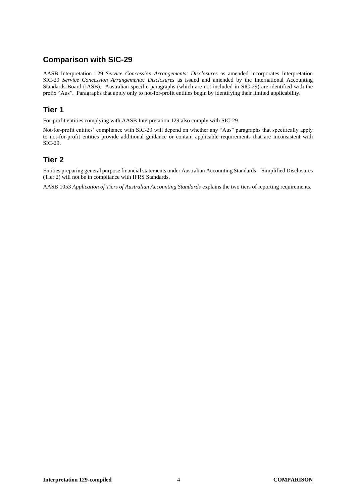## **Comparison with SIC-29**

AASB Interpretation 129 *Service Concession Arrangements: Disclosures* as amended incorporates Interpretation SIC-29 *Service Concession Arrangements: Disclosures* as issued and amended by the International Accounting Standards Board (IASB). Australian-specific paragraphs (which are not included in SIC-29) are identified with the prefix "Aus". Paragraphs that apply only to not-for-profit entities begin by identifying their limited applicability.

#### **Tier 1**

For-profit entities complying with AASB Interpretation 129 also comply with SIC-29.

Not-for-profit entities' compliance with SIC-29 will depend on whether any "Aus" paragraphs that specifically apply to not-for-profit entities provide additional guidance or contain applicable requirements that are inconsistent with SIC-29.

## **Tier 2**

Entities preparing general purpose financial statements under Australian Accounting Standards – Simplified Disclosures (Tier 2) will not be in compliance with IFRS Standards.

AASB 1053 *Application of Tiers of Australian Accounting Standards* explains the two tiers of reporting requirements.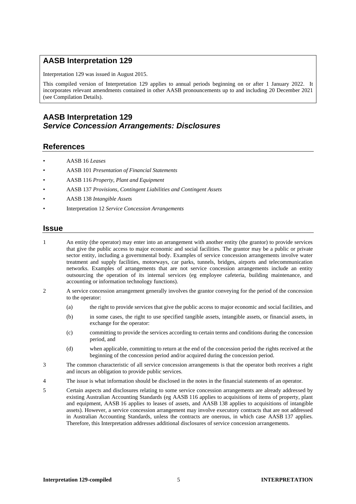#### **AASB Interpretation 129**

Interpretation 129 was issued in August 2015.

This compiled version of Interpretation 129 applies to annual periods beginning on or after 1 January 2022. It incorporates relevant amendments contained in other AASB pronouncements up to and including 20 December 2021 (see Compilation Details).

## **AASB Interpretation 129** *Service Concession Arrangements: Disclosures*

#### **References**

- AASB 16 *Leases*
- AASB 101 *Presentation of Financial Statements*
- AASB 116 *Property, Plant and Equipment*
- AASB 137 *Provisions, Contingent Liabilities and Contingent Assets*
- AASB 138 *Intangible Assets*
- Interpretation 12 *Service Concession Arrangements*

#### **Issue**

1 An entity (the operator) may enter into an arrangement with another entity (the grantor) to provide services that give the public access to major economic and social facilities. The grantor may be a public or private sector entity, including a governmental body. Examples of service concession arrangements involve water treatment and supply facilities, motorways, car parks, tunnels, bridges, airports and telecommunication networks. Examples of arrangements that are not service concession arrangements include an entity outsourcing the operation of its internal services (eg employee cafeteria, building maintenance, and accounting or information technology functions).

- 2 A service concession arrangement generally involves the grantor conveying for the period of the concession to the operator:
	- (a) the right to provide services that give the public access to major economic and social facilities, and
	- (b) in some cases, the right to use specified tangible assets, intangible assets, or financial assets, in exchange for the operator:
	- (c) committing to provide the services according to certain terms and conditions during the concession period, and
	- (d) when applicable, committing to return at the end of the concession period the rights received at the beginning of the concession period and/or acquired during the concession period.
- 3 The common characteristic of all service concession arrangements is that the operator both receives a right and incurs an obligation to provide public services.
- 4 The issue is what information should be disclosed in the notes in the financial statements of an operator.
- 5 Certain aspects and disclosures relating to some service concession arrangements are already addressed by existing Australian Accounting Standards (eg AASB 116 applies to acquisitions of items of property, plant and equipment, AASB 16 applies to leases of assets, and AASB 138 applies to acquisitions of intangible assets). However, a service concession arrangement may involve executory contracts that are not addressed in Australian Accounting Standards, unless the contracts are onerous, in which case AASB 137 applies. Therefore, this Interpretation addresses additional disclosures of service concession arrangements.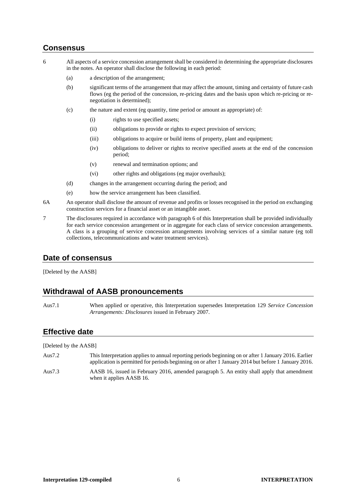#### **Consensus**

- 6 All aspects of a service concession arrangement shall be considered in determining the appropriate disclosures in the notes. An operator shall disclose the following in each period:
	- (a) a description of the arrangement;
	- (b) significant terms of the arrangement that may affect the amount, timing and certainty of future cash flows (eg the period of the concession, re-pricing dates and the basis upon which re-pricing or renegotiation is determined);
	- (c) the nature and extent (eg quantity, time period or amount as appropriate) of:
		- (i) rights to use specified assets;
		- (ii) obligations to provide or rights to expect provision of services;
		- (iii) obligations to acquire or build items of property, plant and equipment;
		- (iv) obligations to deliver or rights to receive specified assets at the end of the concession period;
		- (v) renewal and termination options; and
		- (vi) other rights and obligations (eg major overhauls);
	- (d) changes in the arrangement occurring during the period; and
	- (e) how the service arrangement has been classified.
- 6A An operator shall disclose the amount of revenue and profits or losses recognised in the period on exchanging construction services for a financial asset or an intangible asset.
- 7 The disclosures required in accordance with paragraph 6 of this Interpretation shall be provided individually for each service concession arrangement or in aggregate for each class of service concession arrangements. A class is a grouping of service concession arrangements involving services of a similar nature (eg toll collections, telecommunications and water treatment services).

#### **Date of consensus**

[Deleted by the AASB]

#### **Withdrawal of AASB pronouncements**

Aus7.1 When applied or operative, this Interpretation supersedes Interpretation 129 *Service Concession Arrangements: Disclosures* issued in February 2007.

#### **Effective date**

[Deleted by the AASB]

- Aus7.2 This Interpretation applies to annual reporting periods beginning on or after 1 January 2016. Earlier application is permitted for periods beginning on or after 1 January 2014 but before 1 January 2016.
- Aus7.3 AASB 16, issued in February 2016, amended paragraph 5. An entity shall apply that amendment when it applies AASB 16.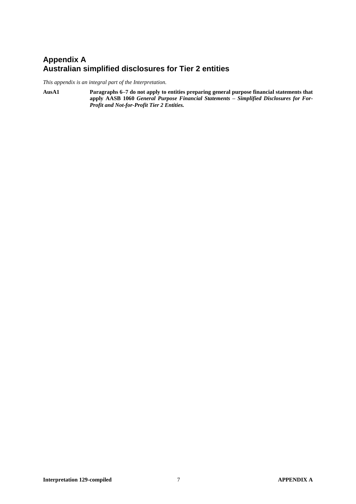## **Appendix A Australian simplified disclosures for Tier 2 entities**

*This appendix is an integral part of the Interpretation.*

**AusA1 Paragraphs 6–7 do not apply to entities preparing general purpose financial statements that apply AASB 1060** *General Purpose Financial Statements – Simplified Disclosures for For-Profit and Not-for-Profit Tier 2 Entities.*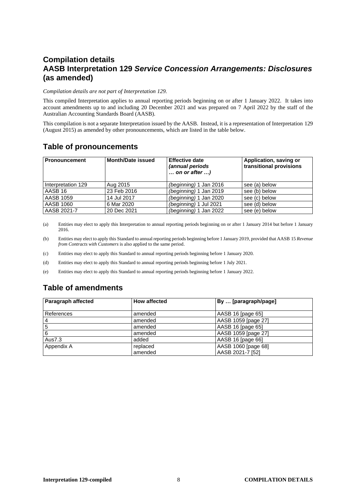# **Compilation details AASB Interpretation 129** *Service Concession Arrangements: Disclosures* **(as amended)**

#### *Compilation details are not part of Interpretation 129.*

This compiled Interpretation applies to annual reporting periods beginning on or after 1 January 2022. It takes into account amendments up to and including 20 December 2021 and was prepared on 7 April 2022 by the staff of the Australian Accounting Standards Board (AASB).

This compilation is not a separate Interpretation issued by the AASB. Instead, it is a representation of Interpretation 129 (August 2015) as amended by other pronouncements, which are listed in the table below.

## **Table of pronouncements**

| <b>Pronouncement</b> | <b>Month/Date issued</b> | <b>Effective date</b><br>(annual periods<br>$\ldots$ on or after $\ldots$ ) | Application, saving or<br>transitional provisions |
|----------------------|--------------------------|-----------------------------------------------------------------------------|---------------------------------------------------|
| Interpretation 129   | Aug 2015                 | (beginning) 1 Jan 2016                                                      | see (a) below                                     |
| AASB 16              | 23 Feb 2016              | (beginning) 1 Jan 2019                                                      | see (b) below                                     |
| <b>AASB 1059</b>     | 14 Jul 2017              | (beginning) 1 Jan 2020                                                      | see (c) below                                     |
| AASB 1060            | 6 Mar 2020               | (beginning) 1 Jul 2021                                                      | see (d) below                                     |
| AASB 2021-7          | 20 Dec 2021              | (beginning) 1 Jan 2022                                                      | see (e) below                                     |

(a) Entities may elect to apply this Interpretation to annual reporting periods beginning on or after 1 January 2014 but before 1 January 2016.

(b) Entities may elect to apply this Standard to annual reporting periods beginning before 1 January 2019, provided that AASB 15 *Revenue from Contracts with Customers* is also applied to the same period.

(c) Entities may elect to apply this Standard to annual reporting periods beginning before 1 January 2020.

(d) Entities may elect to apply this Standard to annual reporting periods beginning before 1 July 2021.

(e) Entities may elect to apply this Standard to annual reporting periods beginning before 1 January 2022.

# **Table of amendments**

| Paragraph affected | <b>How affected</b> | By  [paragraph/page] |
|--------------------|---------------------|----------------------|
|                    |                     |                      |
| References         | amended             | AASB 16 [page 65]    |
| 4                  | amended             | AASB 1059 [page 27]  |
| 5                  | amended             | AASB 16 [page 65]    |
| 6                  | amended             | AASB 1059 [page 27]  |
| Aus7.3             | added               | AASB 16 [page 66]    |
| Appendix A         | replaced            | AASB 1060 [page 68]  |
|                    | amended             | AASB 2021-7 [52]     |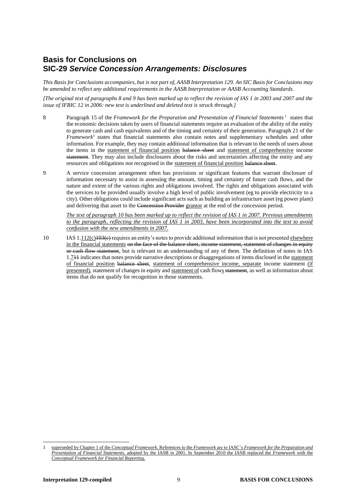#### **Basis for Conclusions on SIC-29** *Service Concession Arrangements: Disclosures*

*This Basis for Conclusions accompanies, but is not part of, AASB Interpretation 129. An SIC Basis for Conclusions may be amended to reflect any additional requirements in the AASB Interpretation or AASB Accounting Standards.*

*[The original text of paragraphs 8 and 9 has been marked up to reflect the revision of IAS 1 in 2003 and 2007 and the issue of IFRIC 12 in 2006: new text is underlined and deleted text is struck through.]*

- 8 Paragraph 15 of the *Framework for the Preparation and Presentation of Financial Statements*<sup>1</sup> states that the economic decisions taken by users of financial statements require an evaluation of the ability of the entity to generate cash and cash equivalents and of the timing and certainty of their generation. Paragraph 21 of the *Framework*<sup>1</sup> states that financial statements also contain notes and supplementary schedules and other information. For example, they may contain additional information that is relevant to the needs of users about the items in the statement of financial position balance sheet and statement of comprehensive income statement. They may also include disclosures about the risks and uncertainties affecting the entity and any resources and obligations not recognised in the statement of financial position balance sheet.
- 9 A service concession arrangement often has provisions or significant features that warrant disclosure of information necessary to assist in assessing the amount, timing and certainty of future cash flows, and the nature and extent of the various rights and obligations involved. The rights and obligations associated with the services to be provided usually involve a high level of public involvement (eg to provide electricity to a city). Other obligations could include significant acts such as building an infrastructure asset (eg power plant) and delivering that asset to the Concession Provider grantor at the end of the concession period.

*The text of paragraph 10 has been marked up to reflect the revision of IAS 1 in 2007. Previous amendments to the paragraph, reflecting the revision of IAS 1 in 2003, have been incorporated into the text to avoid confusion with the new amendments in 2007.*

10 IAS  $1.112(c)103(e)$  requires an entity's notes to provide additional information that is not presented elsewhere in the financial statements on the face of the balance sheet, income statement, statement of changes in equity or cash flow statement, but is relevant to an understanding of any of them. The definition of notes in IAS 1.711 indicates that notes provide narrative descriptions or disaggregations of items disclosed in the statement of financial position balance sheet, statement of comprehensive income, separate income statement (if presented), statement of changes in equity and statement of cash flows statement, as well as information about items that do not qualify for recognition in those statements.

<sup>1</sup> superseded by Chapter 1 of the *Conceptual Framework*. References to the *Framework* are to IASC's *Framework for the Preparation and Presentation of Financial Statements*, adopted by the IASB in 2001. In September 2010 the IASB replaced the *Framework* with the *Conceptual Framework for Financial Reporting*.